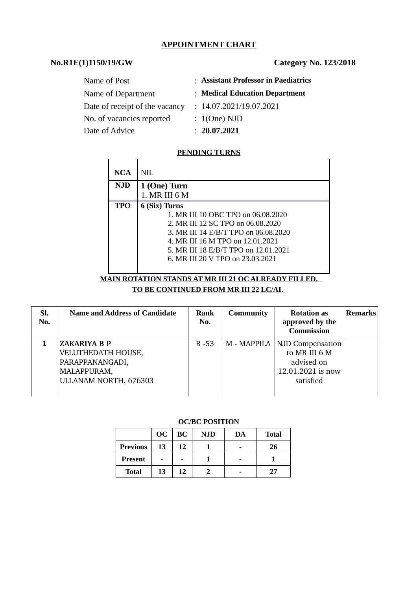## **APPOINTMENT CHART**

# **No.R1E(1)1150/19/GW Category No. 123/2018**

| Name of Post                   | : Assistant Professor in Paediatrics |
|--------------------------------|--------------------------------------|
| Name of Department             | : Medical Education Department       |
| Date of receipt of the vacancy | : 14.07.2021/19.07.2021              |
| No. of vacancies reported      | : 1(One) NJD                         |
| Date of Advice                 | : 20.07.2021                         |
|                                |                                      |

## **PENDING TURNS**

| <b>NCA</b> | NH.                                  |
|------------|--------------------------------------|
| <b>NJD</b> | 1 (One) Turn                         |
|            | 1. MR III 6 M                        |
| <b>TPO</b> | 6 (Six) Turns                        |
|            | 1. MR III 10 OBC TPO on 06.08.2020   |
|            | 2. MR III 12 SC TPO on 06.08.2020    |
|            | 3. MR III 14 E/B/T TPO on 06.08.2020 |
|            | 4. MR III 16 M TPO on 12.01.2021     |
|            | 5. MR III 18 E/B/T TPO on 12.01.2021 |
|            | 6. MR III 20 V TPO on 23.03.2021     |
|            |                                      |

## **MAIN ROTATION STANDS AT MR III 21 OC ALREADY FILLED. TO BE CONTINUED FROM MR III 22 LC/AI.**

| SI.<br>No. | <b>Name and Address of Candidate</b>                                                          | Rank<br>No. | <b>Community</b> | <b>Rotation as</b><br>approved by the<br><b>Commission</b>                                      | <b>Remarks</b> |
|------------|-----------------------------------------------------------------------------------------------|-------------|------------------|-------------------------------------------------------------------------------------------------|----------------|
|            | ZAKARIYA B P<br>VELUTHEDATH HOUSE,<br>PARAPPANANGADI,<br>MALAPPURAM,<br>ULLANAM NORTH, 676303 | $R - 53$    |                  | M - MAPPILA   NJD Compensation<br>to MR III 6 M<br>advised on<br>12.01.2021 is now<br>satisfied |                |

### **OC/BC POSITION**

|                 | OC | BC | <b>NJD</b> | DA | <b>Total</b> |  |  |
|-----------------|----|----|------------|----|--------------|--|--|
| <b>Previous</b> | 13 | 12 |            |    | 26           |  |  |
| <b>Present</b>  | -  |    |            | -  |              |  |  |
| <b>Total</b>    | 13 | 12 |            |    | 77           |  |  |